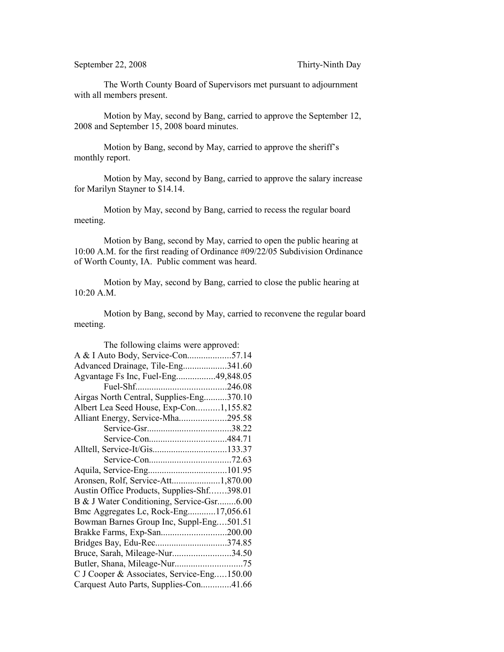The Worth County Board of Supervisors met pursuant to adjournment with all members present.

Motion by May, second by Bang, carried to approve the September 12, 2008 and September 15, 2008 board minutes.

Motion by Bang, second by May, carried to approve the sheriff's monthly report.

Motion by May, second by Bang, carried to approve the salary increase for Marilyn Stayner to \$14.14.

Motion by May, second by Bang, carried to recess the regular board meeting.

Motion by Bang, second by May, carried to open the public hearing at 10:00 A.M. for the first reading of Ordinance #09/22/05 Subdivision Ordinance of Worth County, IA. Public comment was heard.

Motion by May, second by Bang, carried to close the public hearing at 10:20 A.M.

Motion by Bang, second by May, carried to reconvene the regular board meeting.

| The following claims were approved:        |  |
|--------------------------------------------|--|
| A & I Auto Body, Service-Con57.14          |  |
| Advanced Drainage, Tile-Eng341.60          |  |
| Agvantage Fs Inc, Fuel-Eng49,848.05        |  |
|                                            |  |
| Airgas North Central, Supplies-Eng370.10   |  |
| Albert Lea Seed House, Exp-Con1,155.82     |  |
| Alliant Energy, Service-Mha295.58          |  |
|                                            |  |
|                                            |  |
|                                            |  |
|                                            |  |
|                                            |  |
| Aronsen, Rolf, Service-Att1,870.00         |  |
| Austin Office Products, Supplies-Shf398.01 |  |
| B & J Water Conditioning, Service-Gsr6.00  |  |
| Bmc Aggregates Lc, Rock-Eng17,056.61       |  |
| Bowman Barnes Group Inc, Suppl-Eng501.51   |  |
|                                            |  |
| Bridges Bay, Edu-Rec374.85                 |  |
| Bruce, Sarah, Mileage-Nur34.50             |  |
|                                            |  |
| C J Cooper & Associates, Service-Eng150.00 |  |
| Carquest Auto Parts, Supplies-Con41.66     |  |
|                                            |  |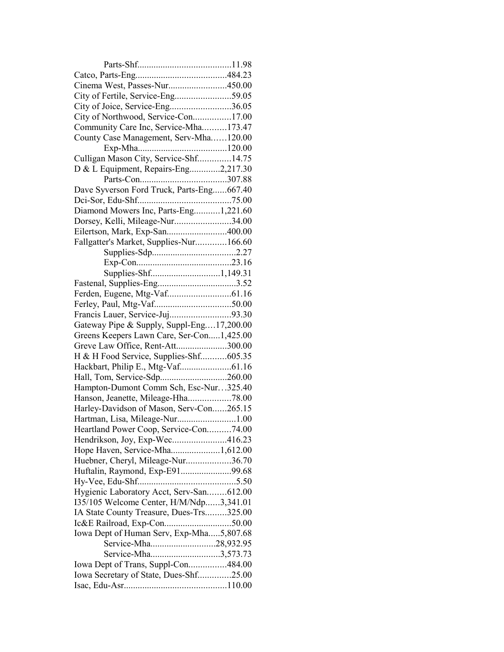| Cinema West, Passes-Nur450.00             |  |
|-------------------------------------------|--|
|                                           |  |
| City of Joice, Service-Eng36.05           |  |
| City of Northwood, Service-Con17.00       |  |
| Community Care Inc, Service-Mha173.47     |  |
| County Case Management, Serv-Mha120.00    |  |
|                                           |  |
| Culligan Mason City, Service-Shf14.75     |  |
| D & L Equipment, Repairs-Eng2,217.30      |  |
|                                           |  |
| Dave Syverson Ford Truck, Parts-Eng667.40 |  |
|                                           |  |
| Diamond Mowers Inc, Parts-Eng1,221.60     |  |
| Dorsey, Kelli, Mileage-Nur34.00           |  |
| Eilertson, Mark, Exp-San400.00            |  |
| Fallgatter's Market, Supplies-Nur166.60   |  |
|                                           |  |
|                                           |  |
|                                           |  |
|                                           |  |
|                                           |  |
|                                           |  |
|                                           |  |
| Francis Lauer, Service-Juj93.30           |  |
| Gateway Pipe & Supply, Suppl-Eng17,200.00 |  |
| Greens Keepers Lawn Care, Ser-Con1,425.00 |  |
| Greve Law Office, Rent-Att300.00          |  |
| H & H Food Service, Supplies-Shf605.35    |  |
|                                           |  |
|                                           |  |
| Hampton-Dumont Comm Sch, Esc-Nur. 325.40  |  |
| Hanson, Jeanette, Mileage-Hha78.00        |  |
| Harley-Davidson of Mason, Serv-Con265.15  |  |
|                                           |  |
| Heartland Power Coop, Service-Con74.00    |  |
| Hendrikson, Joy, Exp-Wec416.23            |  |
| Hope Haven, Service-Mha1,612.00           |  |
| Huebner, Cheryl, Mileage-Nur36.70         |  |
| Huftalin, Raymond, Exp-E9199.68           |  |
|                                           |  |
| Hygienic Laboratory Acct, Serv-San612.00  |  |
| 135/105 Welcome Center, H/M/Ndp3,341.01   |  |
| IA State County Treasure, Dues-Trs325.00  |  |
| Ic&E Railroad, Exp-Con50.00               |  |
| Iowa Dept of Human Serv, Exp-Mha5,807.68  |  |
| Service-Mha28,932.95                      |  |
| Service-Mha3,573.73                       |  |
| Iowa Dept of Trans, Suppl-Con484.00       |  |
| Iowa Secretary of State, Dues-Shf25.00    |  |
|                                           |  |
|                                           |  |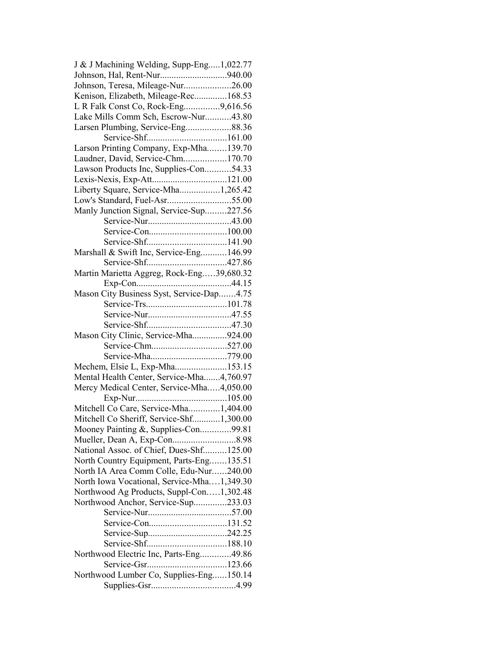| J & J Machining Welding, Supp-Eng1,022.77  |  |
|--------------------------------------------|--|
| Johnson, Hal, Rent-Nur940.00               |  |
| Johnson, Teresa, Mileage-Nur26.00          |  |
| Kenison, Elizabeth, Mileage-Rec168.53      |  |
| L R Falk Const Co, Rock-Eng9,616.56        |  |
| Lake Mills Comm Sch, Escrow-Nur43.80       |  |
| Larsen Plumbing, Service-Eng88.36          |  |
|                                            |  |
| Larson Printing Company, Exp-Mha139.70     |  |
| Laudner, David, Service-Chm170.70          |  |
| Lawson Products Inc, Supplies-Con54.33     |  |
| Lexis-Nexis, Exp-Att121.00                 |  |
| Liberty Square, Service-Mha1,265.42        |  |
|                                            |  |
| Manly Junction Signal, Service-Sup227.56   |  |
|                                            |  |
|                                            |  |
|                                            |  |
|                                            |  |
| Marshall & Swift Inc, Service-Eng146.99    |  |
|                                            |  |
| Martin Marietta Aggreg, Rock-Eng39,680.32  |  |
|                                            |  |
| Mason City Business Syst, Service-Dap4.75  |  |
|                                            |  |
|                                            |  |
|                                            |  |
| Mason City Clinic, Service-Mha924.00       |  |
| Service-Chm527.00                          |  |
| Service-Mha779.00                          |  |
| Mechem, Elsie L, Exp-Mha153.15             |  |
| Mental Health Center, Service-Mha4,760.97  |  |
| Mercy Medical Center, Service-Mha4,050.00  |  |
|                                            |  |
| Mitchell Co Care, Service-Mha1,404.00      |  |
| Mitchell Co Sheriff, Service-Shf1,300.00   |  |
| Mooney Painting &, Supplies-Con99.81       |  |
|                                            |  |
| National Assoc. of Chief, Dues-Shf125.00   |  |
| North Country Equipment, Parts-Eng135.51   |  |
| North IA Area Comm Colle, Edu-Nur240.00    |  |
| North Iowa Vocational, Service-Mha1,349.30 |  |
|                                            |  |
| Northwood Ag Products, Suppl-Con1,302.48   |  |
| Northwood Anchor, Service-Sup233.03        |  |
|                                            |  |
|                                            |  |
|                                            |  |
|                                            |  |
| Northwood Electric Inc, Parts-Eng49.86     |  |
|                                            |  |
| Northwood Lumber Co, Supplies-Eng150.14    |  |
|                                            |  |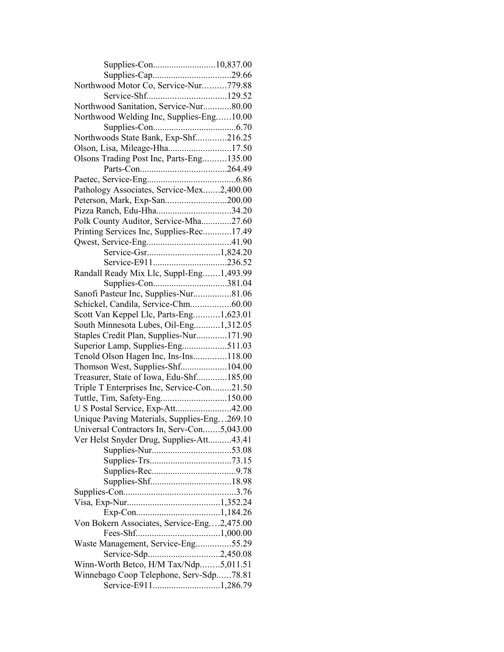| Supplies-Con10,837.00                       |  |
|---------------------------------------------|--|
|                                             |  |
| Northwood Motor Co, Service-Nur779.88       |  |
|                                             |  |
| Northwood Sanitation, Service-Nur80.00      |  |
| Northwood Welding Inc, Supplies-Eng10.00    |  |
|                                             |  |
| Northwoods State Bank, Exp-Shf216.25        |  |
| Olson, Lisa, Mileage-Hha17.50               |  |
| Olsons Trading Post Inc, Parts-Eng135.00    |  |
|                                             |  |
|                                             |  |
| Pathology Associates, Service-Mex2,400.00   |  |
|                                             |  |
| Peterson, Mark, Exp-San200.00               |  |
| Pizza Ranch, Edu-Hha34.20                   |  |
| Polk County Auditor, Service-Mha27.60       |  |
| Printing Services Inc, Supplies-Rec17.49    |  |
|                                             |  |
|                                             |  |
|                                             |  |
| Randall Ready Mix Llc, Suppl-Eng1,493.99    |  |
| Supplies-Con381.04                          |  |
| Sanofi Pasteur Inc, Supplies-Nur81.06       |  |
| Schickel, Candila, Service-Chm60.00         |  |
| Scott Van Keppel Llc, Parts-Eng1,623.01     |  |
| South Minnesota Lubes, Oil-Eng1,312.05      |  |
| Staples Credit Plan, Supplies-Nur171.90     |  |
| Superior Lamp, Supplies-Eng511.03           |  |
| Tenold Olson Hagen Inc, Ins-Ins118.00       |  |
| Thomson West, Supplies-Shf104.00            |  |
| Treasurer, State of Iowa, Edu-Shf185.00     |  |
| Triple T Enterprises Inc, Service-Con21.50  |  |
| Tuttle, Tim, Safety-Eng150.00               |  |
| U S Postal Service, Exp-Att42.00            |  |
|                                             |  |
| Unique Paving Materials, Supplies-Eng269.10 |  |
| Universal Contractors In, Serv-Con5,043.00  |  |
| Ver Helst Snyder Drug, Supplies-Att43.41    |  |
|                                             |  |
|                                             |  |
|                                             |  |
|                                             |  |
|                                             |  |
|                                             |  |
|                                             |  |
| Von Bokern Associates, Service-Eng2,475.00  |  |
|                                             |  |
| Waste Management, Service-Eng55.29          |  |
|                                             |  |
| Winn-Worth Betco, H/M Tax/Ndp5,011.51       |  |
| Winnebago Coop Telephone, Serv-Sdp78.81     |  |
|                                             |  |
|                                             |  |